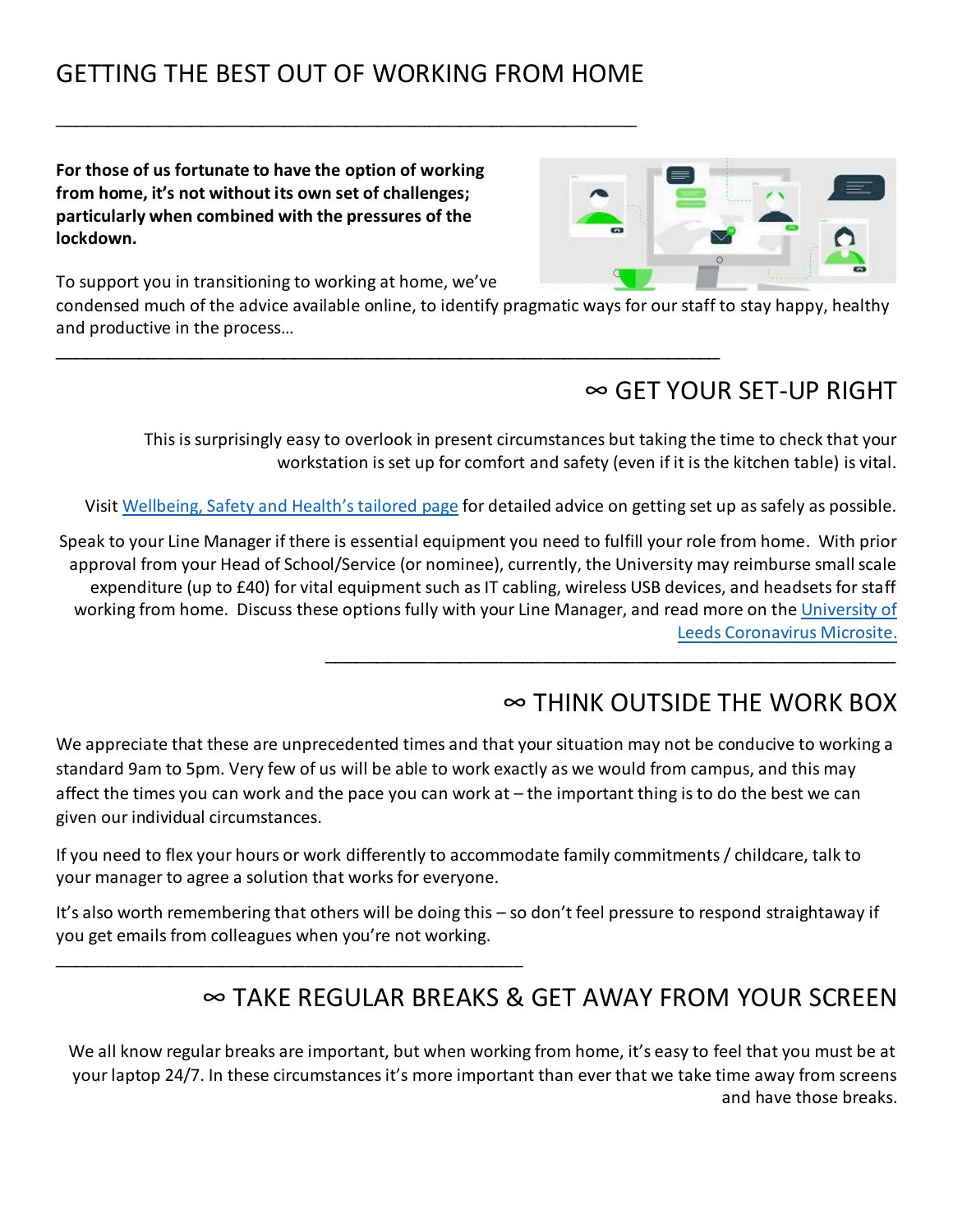# GETTING THE BEST OUT OF WORKING FROM HOME

\_\_\_\_\_\_\_\_\_\_\_\_\_\_\_\_\_\_\_\_\_\_\_\_\_\_\_\_\_\_\_\_\_\_\_\_\_\_\_\_\_\_\_\_\_\_\_\_\_\_\_\_\_\_\_\_

\_\_\_\_\_\_\_\_\_\_\_\_\_\_\_\_\_\_\_\_\_\_\_\_\_\_\_\_\_\_\_\_\_\_\_\_\_\_\_\_\_\_\_\_\_\_\_\_\_\_\_\_\_\_\_\_\_\_\_\_\_\_\_\_

**For those of us fortunate to have the option of working from home, it's not without its own set of challenges; particularly when combined with the pressures of the lockdown.** 



To support you in transitioning to working at home, we've

\_\_\_\_\_\_\_\_\_\_\_\_\_\_\_\_\_\_\_\_\_\_\_\_\_\_\_\_\_\_\_\_\_\_\_\_\_\_\_\_\_\_\_\_\_

condensed much of the advice available online, to identify pragmatic ways for our staff to stay happy, healthy and productive in the process…

### ∞ GET YOUR SET-UP RIGHT

This is surprisingly easy to overlook in present circumstances but taking the time to check that your workstation is set up for comfort and safety (even if it is the kitchen table) is vital.

Visit [Wellbeing, Safety and Health's tailored](http://wsh.leeds.ac.uk/dse-at-home) page for detailed advice on getting set up as safely as possible.

Speak to your Line Manager if there is essential equipment you need to fulfill your role from home. With prior approval from your Head of School/Service (or nominee), currently, the University may reimburse small scale expenditure (up to £40) for vital equipment such as IT cabling, wireless USB devices, and headsets for staff working from home. Discuss these options fully with your Line Manager, and read more on th[e University of](https://coronavirus.leeds.ac.uk/staff-advice/working-from-home/#ways-working)  [Leeds Coronavirus Microsite.](https://coronavirus.leeds.ac.uk/staff-advice/working-from-home/#ways-working) \_\_\_\_\_\_\_\_\_\_\_\_\_\_\_\_\_\_\_\_\_\_\_\_\_\_\_\_\_\_\_\_\_\_\_\_\_\_\_\_\_\_\_\_\_\_\_\_\_\_\_\_\_\_\_

## ∞ THINK OUTSIDE THE WORK BOX

We appreciate that these are unprecedented times and that your situation may not be conducive to working a standard 9am to 5pm. Very few of us will be able to work exactly as we would from campus, and this may affect the times you can work and the pace you can work at – the important thing is to do the best we can given our individual circumstances.

If you need to flex your hours or work differently to accommodate family commitments / childcare, talk to your manager to agree a solution that works for everyone.

It's also worth remembering that others will be doing this – so don't feel pressure to respond straightaway if you get emails from colleagues when you're not working.

## ∞ TAKE REGULAR BREAKS & GET AWAY FROM YOUR SCREEN

We all know regular breaks are important, but when working from home, it's easy to feel that you must be at your laptop 24/7. In these circumstances it's more important than ever that we take time away from screens and have those breaks.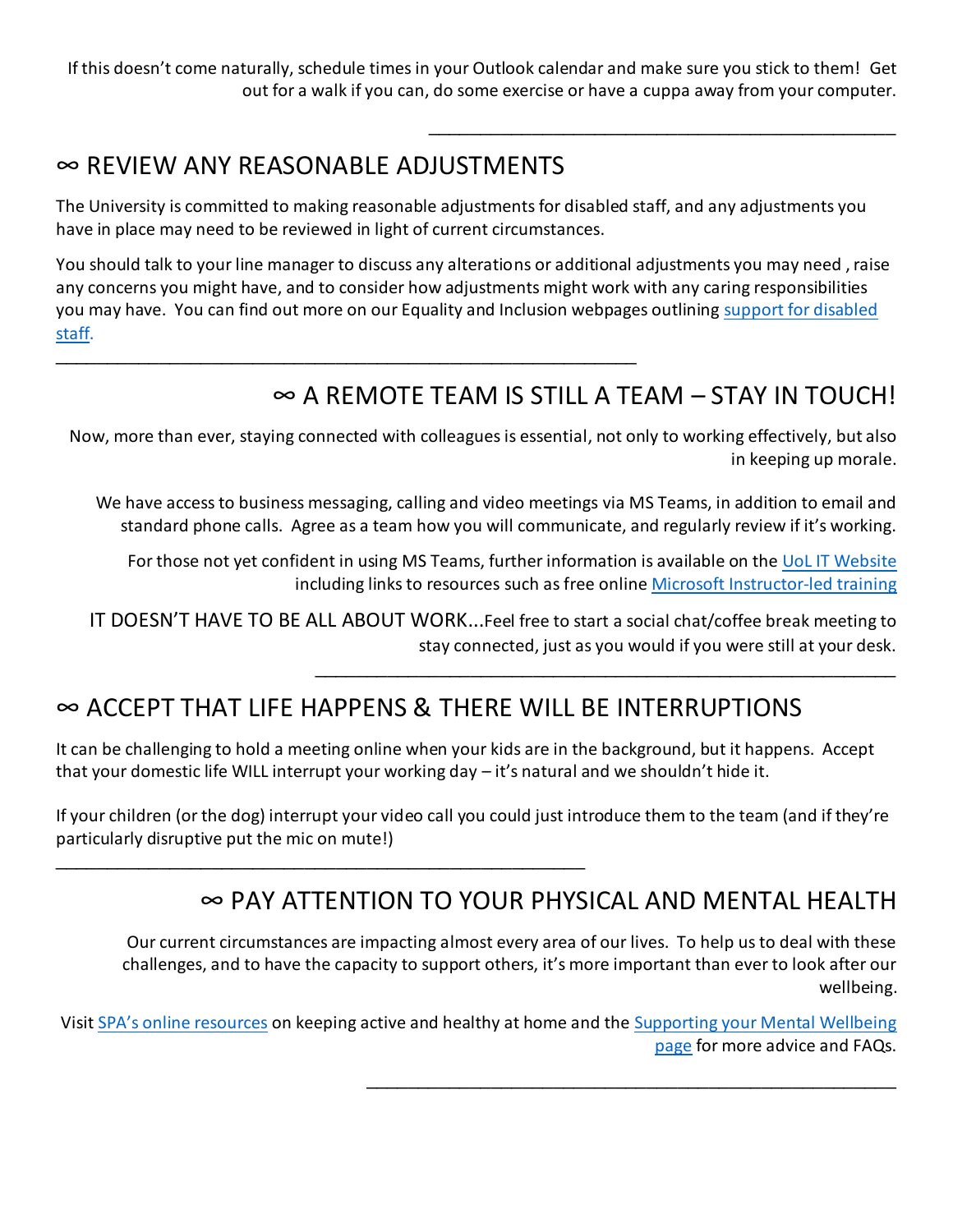If this doesn't come naturally, schedule times in your Outlook calendar and make sure you stick to them! Get out for a walk if you can, do some exercise or have a cuppa away from your computer.

#### ∞ REVIEW ANY REASONABLE ADJUSTMENTS

\_\_\_\_\_\_\_\_\_\_\_\_\_\_\_\_\_\_\_\_\_\_\_\_\_\_\_\_\_\_\_\_\_\_\_\_\_\_\_\_\_\_\_\_\_\_\_\_\_\_\_\_\_\_\_\_

\_\_\_\_\_\_\_\_\_\_\_\_\_\_\_\_\_\_\_\_\_\_\_\_\_\_\_\_\_\_\_\_\_\_\_\_\_\_\_\_\_\_\_\_\_\_\_\_\_\_\_

The University is committed to making reasonable adjustments for disabled staff, and any adjustments you have in place may need to be reviewed in light of current circumstances.

You should talk to your line manager to discuss any alterations or additional adjustments you may need , raise any concerns you might have, and to consider how adjustments might work with any caring responsibilities you may have. You can find out more on our Equality and Inclusion webpages outlining [support for disabled](https://equality.leeds.ac.uk/support-and-resources/support-for-disabled-staff/)  [staff.](https://equality.leeds.ac.uk/support-and-resources/support-for-disabled-staff/)

# $\infty$  A REMOTE TEAM IS STILL A TEAM – STAY IN TOUCH!

\_\_\_\_\_\_\_\_\_\_\_\_\_\_\_\_\_\_\_\_\_\_\_\_\_\_\_\_\_\_\_\_\_\_\_\_\_\_\_\_\_\_\_\_\_\_\_\_\_\_\_\_\_\_\_\_

\_\_\_\_\_\_\_\_\_\_\_\_\_\_\_\_\_\_\_\_\_\_\_\_\_\_\_\_\_\_\_\_\_\_\_\_\_\_\_\_\_\_\_\_\_\_\_\_\_\_\_

\_\_\_\_\_\_\_\_\_\_\_\_\_\_\_\_\_\_\_\_\_\_\_\_\_\_\_\_\_\_\_\_\_\_\_\_\_\_\_\_\_\_\_\_\_

Now, more than ever, staying connected with colleagues is essential, not only to working effectively, but also in keeping up morale.

We have access to business messaging, calling and video meetings via MS Teams, in addition to email and standard phone calls. Agree as a team how you will communicate, and regularly review if it's working.

For those not yet confident in using MS Teams, further information is available on th[e UoL IT Website](https://it.leeds.ac.uk/it?id=kb_article&sysparm_article=KB0012997) including links to resources such as free online Microsoft [Instructor-led training](https://docs.microsoft.com/en-us/microsoftteams/instructor-led-training-teams-landing-page#pivot=home&panel=home-all) 

IT DOESN'T HAVE TO BE ALL ABOUT WORK...Feel free to start a social chat/coffee break meeting to stay connected, just as you would if you were still at your desk.

## ∞ ACCEPT THAT LIFE HAPPENS & THERE WILL BE INTERRUPTIONS

It can be challenging to hold a meeting online when your kids are in the background, but it happens. Accept that your domestic life WILL interrupt your working day – it's natural and we shouldn't hide it.

If your children (or the dog) interrupt your video call you could just introduce them to the team (and if they're particularly disruptive put the mic on mute!)

#### ∞ PAY ATTENTION TO YOUR PHYSICAL AND MENTAL HEALTH

Our current circumstances are impacting almost every area of our lives. To help us to deal with these challenges, and to have the capacity to support others, it's more important than ever to look after our wellbeing.

Visit [SPA's online resources](https://sport.leeds.ac.uk/the-edge/yourhomeyourmove/) on keeping active and healthy at home and the [Supporting your Mental Wellbeing](http://wsh.leeds.ac.uk/Coronavirus-Supporting-Your-Mental-Wellbeing)  [page](http://wsh.leeds.ac.uk/Coronavirus-Supporting-Your-Mental-Wellbeing) for more advice and FAQs.